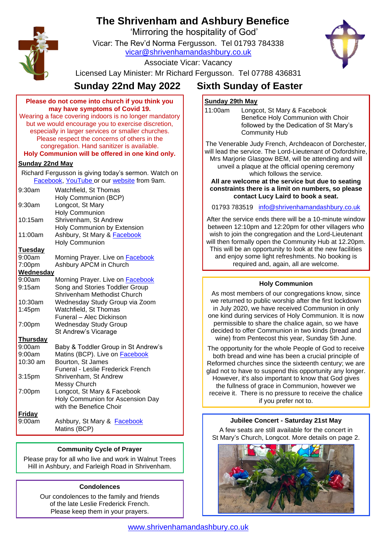# **The Shrivenham and Ashbury Benefice**

'Mirroring the hospitality of God'

Vicar: The Rev'd Norma Fergusson. Tel 01793 784338 [vicar@shrivenhamandashbury.co.uk](mailto:vicar@shrivenhamandashbury.co.uk)



Associate Vicar: Vacancy

Licensed Lay Minister: Mr Richard Fergusson. Tel 07788 436831

| Please do not come into church if you think you                                                    |                                            |
|----------------------------------------------------------------------------------------------------|--------------------------------------------|
| may have symptoms of Covid 19.                                                                     |                                            |
| Wearing a face covering indoors is no longer mandatory                                             |                                            |
| but we would encourage you to exercise discretion,                                                 |                                            |
| especially in larger services or smaller churches.                                                 |                                            |
| Please respect the concerns of others in the                                                       |                                            |
|                                                                                                    | congregation. Hand sanitizer is available. |
| Holy Communion will be offered in one kind only.                                                   |                                            |
| <b>Sunday 22nd May</b>                                                                             |                                            |
| Richard Fergusson is giving today's sermon. Watch on<br>Facebook, YouTube or our website from 9am. |                                            |
| 9:30am                                                                                             | Watchfield, St Thomas                      |
|                                                                                                    | Holy Communion (BCP)                       |
| 9:30am                                                                                             | Longcot, St Mary                           |
|                                                                                                    | <b>Holy Communion</b>                      |
| 10:15am                                                                                            | Shrivenham, St Andrew                      |
|                                                                                                    | Holy Communion by Extension                |
| 11:00am                                                                                            | Ashbury, St Mary & Facebook                |
|                                                                                                    | <b>Holy Communion</b>                      |
| <b>Tuesday</b>                                                                                     |                                            |
| 9:00am                                                                                             | Morning Prayer. Live on <b>Facebook</b>    |
| 7:00pm                                                                                             | Ashbury APCM in Church                     |
| Wednesday                                                                                          |                                            |
| 9:00am                                                                                             | Morning Prayer. Live on Facebook           |
| 9:15am                                                                                             | Song and Stories Toddler Group             |
|                                                                                                    | Shrivenham Methodist Church                |
| 10:30am                                                                                            | Wednesday Study Group via Zoom             |
| 1:45pm                                                                                             | Watchfield, St Thomas                      |
|                                                                                                    | Funeral - Alec Dickinson                   |
| 7:00pm                                                                                             | <b>Wednesday Study Group</b>               |
|                                                                                                    | St Andrew's Vicarage                       |
| <b>Thursday</b>                                                                                    |                                            |
| 9:00am                                                                                             | Baby & Toddler Group in St Andrew's        |
| 9:00am                                                                                             | Matins (BCP). Live on Facebook             |
| 10:30 am                                                                                           | Bourton, St James                          |
|                                                                                                    | Funeral - Leslie Frederick French          |
| 3:15pm                                                                                             | Shrivenham, St Andrew                      |
|                                                                                                    | Messy Church                               |
| 7:00pm                                                                                             | Longcot, St Mary & Facebook                |
|                                                                                                    | Holy Communion for Ascension Day           |
|                                                                                                    | with the Benefice Choir                    |
| <b>Friday</b>                                                                                      |                                            |
| 9:00am                                                                                             | Ashbury, St Mary & Facebook                |
|                                                                                                    | Matins (BCP)                               |
|                                                                                                    |                                            |

# **Community Cycle of Prayer**

Please pray for all who live and work in Walnut Trees Hill in Ashbury, and Farleigh Road in Shrivenham.

# **Condolences**

Our condolences to the family and friends of the late Leslie Frederick French. Please keep them in your prayers.

# **Sunday 22nd May 2022 Sixth Sunday of Easter**

# **Sunday 29th May**

11:00am Longcot, St Mary & Facebook Benefice Holy Communion with Choir followed by the Dedication of St Mary's Community Hub

The Venerable Judy French, Archdeacon of Dorchester, will lead the service. The Lord-Lieutenant of Oxfordshire, Mrs Marjorie Glasgow BEM, will be attending and will unveil a plaque at the official opening ceremony which follows the service.

**All are welcome at the service but due to seating constraints there is a limit on numbers, so please contact Lucy Laird to book a seat.**

01793 783519 [info@shrivenhamandashbury.co.uk](mailto:info@shrivenhamandashbury.co.uk)

After the service ends there will be a 10-minute window between 12:10pm and 12:20pm for other villagers who wish to join the congregation and the Lord-Lieutenant will then formally open the Community Hub at 12.20pm. This will be an opportunity to look at the new facilities and enjoy some light refreshments. No booking is required and, again, all are welcome.

# **Holy Communion**

As most members of our congregations know, since we returned to public worship after the first lockdown in July 2020, we have received Communion in only one kind during services of Holy Communion. It is now permissible to share the chalice again, so we have decided to offer Communion in two kinds (bread and wine) from Pentecost this year, Sunday 5th June.

The opportunity for the whole People of God to receive both bread and wine has been a crucial principle of Reformed churches since the sixteenth century; we are glad not to have to suspend this opportunity any longer. However, it's also important to know that God gives the fullness of grace in Communion, however we receive it. There is no pressure to receive the chalice if you prefer not to.

# **Jubilee Concert - Saturday 21st May**

A few seats are still available for the concert in St Mary's Church, Longcot. More details on page 2.